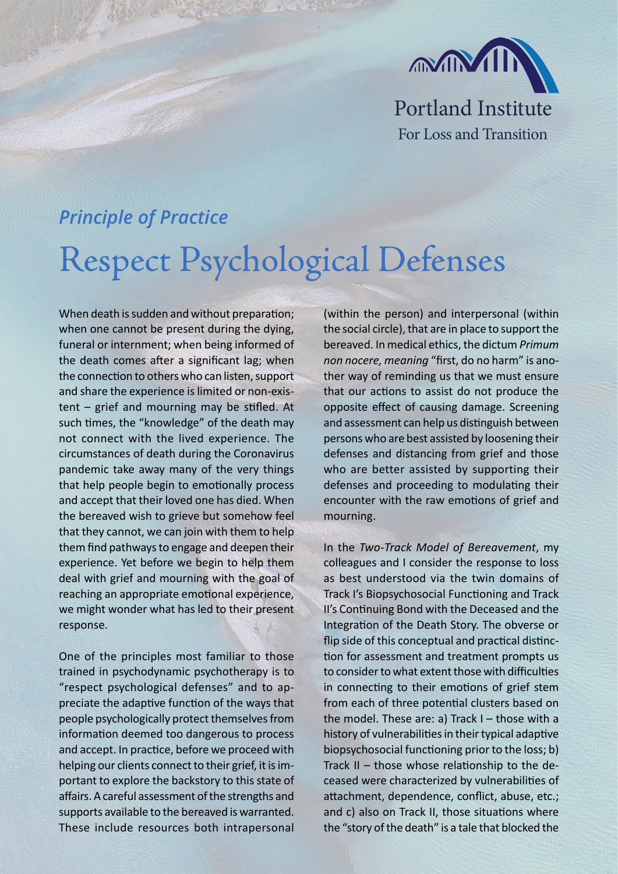

## *Principle of Practice* Respect Psychological Defenses

When death is sudden and without preparation; when one cannot be present during the dying, funeral or internment; when being informed of the death comes after a significant lag; when the connection to others who can listen, support and share the experience is limited or non-existent – grief and mourning may be stifled. At such times, the "knowledge" of the death may not connect with the lived experience. The circumstances of death during the Coronavirus pandemic take away many of the very things that help people begin to emotionally process and accept that their loved one has died. When the bereaved wish to grieve but somehow feel that they cannot, we can join with them to help them find pathways to engage and deepen their experience. Yet before we begin to help them deal with grief and mourning with the goal of reaching an appropriate emotional experience, we might wonder what has led to their present response.

One of the principles most familiar to those trained in psychodynamic psychotherapy is to "respect psychological defenses" and to appreciate the adaptive function of the ways that people psychologically protect themselves from information deemed too dangerous to process and accept. In practice, before we proceed with helping our clients connect to their grief, it is important to explore the backstory to this state of affairs. A careful assessment of the strengths and supports available to the bereaved is warranted. These include resources both intrapersonal (within the person) and interpersonal (within the social circle), that are in place to support the bereaved. In medical ethics, the dictum *Primum non nocere, meaning* "first, do no harm" is another way of reminding us that we must ensure that our actions to assist do not produce the opposite effect of causing damage. Screening and assessment can help us distinguish between persons who are best assisted by loosening their defenses and distancing from grief and those who are better assisted by supporting their defenses and proceeding to modulating their encounter with the raw emotions of grief and mourning.

In the *Two-Track Model of Bereavement*, my colleagues and I consider the response to loss as best understood via the twin domains of Track I's Biopsychosocial Functioning and Track II's Continuing Bond with the Deceased and the Integration of the Death Story. The obverse or flip side of this conceptual and practical distinction for assessment and treatment prompts us to consider to what extent those with difficulties in connecting to their emotions of grief stem from each of three potential clusters based on the model. These are: a) Track I – those with a history of vulnerabilities in their typical adaptive biopsychosocial functioning prior to the loss; b) Track II – those whose relationship to the deceased were characterized by vulnerabilities of attachment, dependence, conflict, abuse, etc.; and c) also on Track II, those situations where the "story of the death" is a tale that blocked the